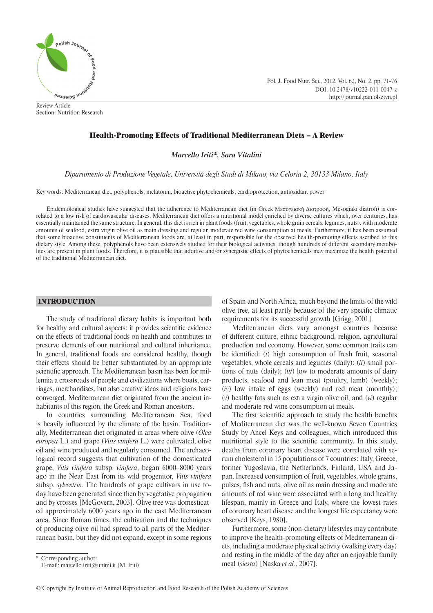

Review Article Section: Nutrition Research Pol. J. Food Nutr. Sci., 2012, Vol. 62, No. 2, pp. 71-76 DOI: 10.2478/v10222-011-0047-z http://journal.pan.olsztyn.pl

# Health-Promoting Effects of Traditional Mediterranean Diets – A Review

*Marcello Iriti\*, Sara Vitalini* 

*Dipartimento di Produzione Vegetale, Università degli Studi di Milano, via Celoria 2, 20133 Milano, Italy*

Key words: Mediterranean diet, polyphenols, melatonin, bioactive phytochemicals, cardioprotection, antioxidant power

Epidemiological studies have suggested that the adherence to Mediterranean diet (in Greek Μεσογειακή Διατροφή, Mesogiaki diatrofi ) is correlated to a low risk of cardiovascular diseases. Mediterranean diet offers a nutritional model enriched by diverse cultures which, over centuries, has essentially maintained the same structure. In general, this diet is rich in plant foods (fruit, vegetables, whole grain cereals, legumes, nuts), with moderate amounts of seafood, extra virgin olive oil as main dressing and regular, moderate red wine consumption at meals. Furthermore, it has been assumed that some bioactive constituents of Mediterranean foods are, at least in part, responsible for the observed health-promoting effects ascribed to this dietary style. Among these, polyphenols have been extensively studied for their biological activities, though hundreds of different secondary metabolites are present in plant foods. Therefore, it is plausible that additive and/or synergistic effects of phytochemicals may maximize the health potential of the traditional Mediterranean diet.

# INTRODUCTION

The study of traditional dietary habits is important both for healthy and cultural aspects: it provides scientific evidence on the effects of traditional foods on health and contributes to preserve elements of our nutritional and cultural inheritance. In general, traditional foods are considered healthy, though their effects should be better substantiated by an appropriate scientific approach. The Mediterranean basin has been for millennia a crossroads of people and civilizations where boats, carriages, merchandises, but also creative ideas and religions have converged. Mediterranean diet originated from the ancient inhabitants of this region, the Greek and Roman ancestors.

In countries surrounding Mediterranean Sea, food is heavily influenced by the climate of the basin. Traditionally, Mediterranean diet originated in areas where olive (*Olea europea* L.) and grape (*Vitis vinifera* L.) were cultivated, olive oil and wine produced and regularly consumed. The archaeological record suggests that cultivation of the domesticated grape, *Vitis vinifera* subsp. *vinifera*, began 6000–8000 years ago in the Near East from its wild progenitor, *Vitis vinifera* subsp. *sylvestris*. The hundreds of grape cultivars in use today have been generated since then by vegetative propagation and by crosses [McGovern, 2003]. Olive tree was domesticated approximately 6000 years ago in the east Mediterranean area. Since Roman times, the cultivation and the techniques of producing olive oil had spread to all parts of the Mediterranean basin, but they did not expand, except in some regions

Mediterranean diets vary amongst countries because of different culture, ethnic background, religion, agricultural production and economy. However, some common traits can be identified: (*i*) high consumption of fresh fruit, seasonal vegetables, whole cereals and legumes (daily); (*ii*) small portions of nuts (daily); (*iii*) low to moderate amounts of dairy products, seafood and lean meat (poultry, lamb) (weekly); (*iv*) low intake of eggs (weekly) and red meat (monthly); (*v*) healthy fats such as extra virgin olive oil; and (*vi*) regular and moderate red wine consumption at meals.

The first scientific approach to study the health benefits of Mediterranean diet was the well-known Seven Countries Study by Ancel Keys and colleagues, which introduced this nutritional style to the scientific community. In this study, deaths from coronary heart disease were correlated with serum cholesterol in 15 populations of 7 countries: Italy, Greece, former Yugoslavia, the Netherlands, Finland, USA and Japan. Increased consumption of fruit, vegetables, whole grains, pulses, fish and nuts, olive oil as main dressing and moderate amounts of red wine were associated with a long and healthy lifespan, mainly in Greece and Italy, where the lowest rates of coronary heart disease and the longest life expectancy were observed [Keys, 1980].

Furthermore, some (non-dietary) lifestyles may contribute to improve the health-promoting effects of Mediterranean diets, including a moderate physical activity (walking every day) and resting in the middle of the day after an enjoyable family meal (*siesta*) [Naska *et al.*, 2007].

of Spain and North Africa, much beyond the limits of the wild olive tree, at least partly because of the very specific climatic requirements for its successful growth [Grigg, 2001].

Corresponding author: E-mail: marcello.iriti@unimi.it (M. Iriti)

<sup>©</sup> Copyright by Institute of Animal Reproduction and Food Research of the Polish Academy of Sciences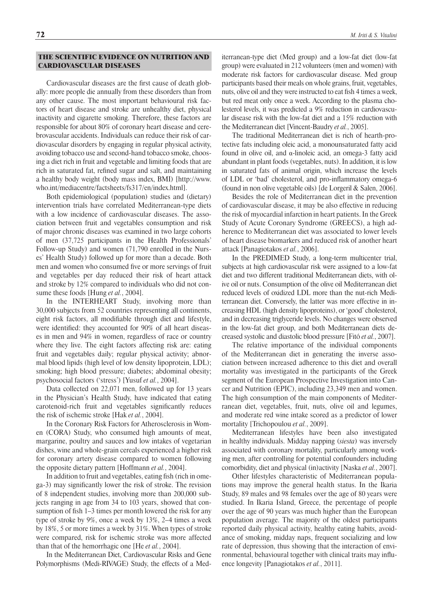# THE SCIENTIFIC EVIDENCE ON NUTRITION AND CARDIOVASCULAR DISEASES

Cardiovascular diseases are the first cause of death globally: more people die annually from these disorders than from any other cause. The most important behavioural risk factors of heart disease and stroke are unhealthy diet, physical inactivity and cigarette smoking. Therefore, these factors are responsible for about 80% of coronary heart disease and cerebrovascular accidents. Individuals can reduce their risk of cardiovascular disorders by engaging in regular physical activity, avoiding tobacco use and second-hand tobacco smoke, choosing a diet rich in fruit and vegetable and limiting foods that are rich in saturated fat, refined sugar and salt, and maintaining a healthy body weight (body mass index, BMI) [http://www. who.int/mediacentre/factsheets/fs317/en/index.html].

Both epidemiological (population) studies and (dietary) intervention trials have correlated Mediterranean-type diets with a low incidence of cardiovascular diseases. The association between fruit and vegetables consumption and risk of major chronic diseases was examined in two large cohorts of men (37,725 participants in the Health Professionals' Follow-up Study) and women (71,790 enrolled in the Nurses' Health Study) followed up for more than a decade. Both men and women who consumed five or more servings of fruit and vegetables per day reduced their risk of heart attack and stroke by 12% compared to individuals who did not consume these foods [Hung *et al.*, 2004].

In the INTERHEART Study, involving more than 30,000 subjects from 52 countries representing all continents, eight risk factors, all modifiable through diet and lifestyle, were identified: they accounted for 90% of all heart diseases in men and 94% in women, regardless of race or country where they live. The eight factors affecting risk are: eating fruit and vegetables daily; regular physical activity; abnormal blood lipids (high level of low density lipoprotein, LDL); smoking; high blood pressure; diabetes; abdominal obesity; psychosocial factors ('stress') [Yusuf *et al.*, 2004].

Data collected on 22,071 men, followed up for 13 years in the Physician's Health Study, have indicated that eating carotenoid-rich fruit and vegetables significantly reduces the risk of ischemic stroke [Hak *et al.*, 2004].

In the Coronary Risk Factors for Atherosclerosis in Women (CORA) Study, who consumed high amounts of meat, margarine, poultry and sauces and low intakes of vegetarian dishes, wine and whole-grain cereals experienced a higher risk for coronary artery disease compared to women following the opposite dietary pattern [Hoffmann *et al.*, 2004].

In addition to fruit and vegetables, eating fish (rich in omega-3) may significantly lower the risk of stroke. The revision of 8 independent studies, involving more than 200,000 subjects ranging in age from 34 to 103 years, showed that consumption of fish  $1-3$  times per month lowered the risk for any type of stroke by 9%, once a week by 13%, 2–4 times a week by 18%, 5 or more times a week by 31%. When types of stroke were compared, risk for ischemic stroke was more affected than that of the hemorrhagic one [He *et al.*, 2004].

In the Mediterranean Diet, Cardiovascular Risks and Gene Polymorphisms (Medi-RIVAGE) Study, the effects of a Mediterranean-type diet (Med group) and a low-fat diet (low-fat group) were evaluated in 212 volunteers (men and women) with moderate risk factors for cardiovascular disease. Med group participants based their meals on whole grains, fruit, vegetables, nuts, olive oil and they were instructed to eat fish 4 times a week, but red meat only once a week. According to the plasma cholesterol levels, it was predicted a 9% reduction in cardiovascular disease risk with the low-fat diet and a 15% reduction with the Mediterranean diet [Vincent-Baudry *et al.*, 2005].

The traditional Mediterranean diet is rich of hearth-protective fats including oleic acid, a monounsaturated fatty acid found in olive oil, and α-linoleic acid, an omega-3 fatty acid abundant in plant foods (vegetables, nuts). In addition, it is low in saturated fats of animal origin, which increase the levels of LDL or 'bad' cholesterol, and pro-inflammatory omega-6 (found in non olive vegetable oils) [de Lorgeril & Salen, 2006].

Besides the role of Mediterranean diet in the prevention of cardiovascular disease, it may be also effective in reducing the risk of myocardial infarction in heart patients. In the Greek Study of Acute Coronary Syndrome (GREECS), a high adherence to Mediterranean diet was associated to lower levels of heart disease biomarkers and reduced risk of another heart attack [Panagiotakos *et al.*, 2006].

In the PREDIMED Study, a long-term multicenter trial, subjects at high cardiovascular risk were assigned to a low-fat diet and two different traditional Mediterranean diets, with olive oil or nuts. Consumption of the olive oil Mediterranean diet reduced levels of oxidized LDL more than the nut-rich Mediterranean diet. Conversely, the latter was more effective in increasing HDL (high density lipoproteins), or 'good' cholesterol, and in decreasing triglyceride levels. No changes were observed in the low-fat diet group, and both Mediterranean diets decreased systolic and diastolic blood pressure [Fitó *et al.*, 2007].

The relative importance of the individual components of the Mediterranean diet in generating the inverse association between increased adherence to this diet and overall mortality was investigated in the participants of the Greek segment of the European Prospective Investigation into Cancer and Nutrition (EPIC), including 23,349 men and women. The high consumption of the main components of Mediterranean diet, vegetables, fruit, nuts, olive oil and legumes, and moderate red wine intake scored as a predictor of lower mortality [Trichopoulou *et al.*, 2009].

Mediterranean lifestyles have been also investigated in healthy individuals. Midday napping (*siesta*) was inversely associated with coronary mortality, particularly among working men, after controlling for potential confounders including comorbidity, diet and physical (in)activity [Naska *et al.*, 2007].

Other lifestyles characteristic of Mediterranean populations may improve the general health status. In the Ikaria Study, 89 males and 98 females over the age of 80 years were studied. In Ikaria Island, Greece, the percentage of people over the age of 90 years was much higher than the European population average. The majority of the oldest participants reported daily physical activity, healthy eating habits, avoidance of smoking, midday naps, frequent socializing and low rate of depression, thus showing that the interaction of environmental, behavioural together with clinical traits may influence longevity [Panagiotakos *et al.*, 2011].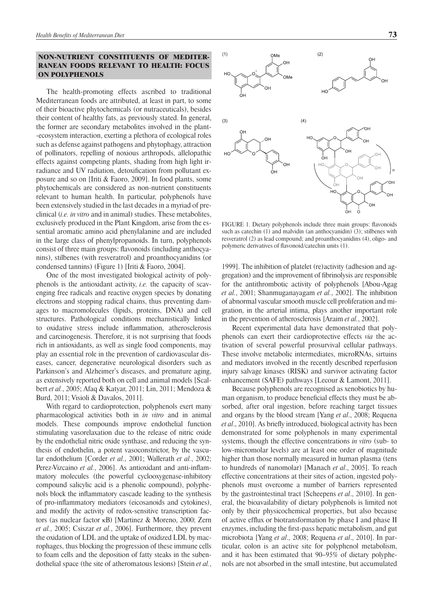## NON-NUTRIENT CONSTITUENTS OF MEDITER-RANEAN FOODS RELEVANT TO HEALTH: FOCUS ON POLYPHENOLS

The health-promoting effects ascribed to traditional Mediterranean foods are attributed, at least in part, to some of their bioactive phytochemicals (or nutraceuticals), besides their content of healthy fats, as previously stated. In general, the former are secondary metabolites involved in the plant- -ecosystem interaction, exerting a plethora of ecological roles such as defense against pathogens and phytophagy, attraction of pollinators, repelling of noxious arthropods, allelopathic effects against competing plants, shading from high light irradiance and UV radiation, detoxification from pollutant exposure and so on [Iriti & Faoro, 2009]. In food plants, some phytochemicals are considered as non-nutrient constituents relevant to human health. In particular, polyphenols have been extensively studied in the last decades in a myriad of preclinical (*i.e. in vitro* and in animal) studies. These metabolites, exclusively produced in the Plant Kingdom, arise from the essential aromatic amino acid phenylalanine and are included in the large class of phenylpropanoids. In turn, polyphenols consist of three main groups: flavonoids (including anthocyanins), stilbenes (with resveratrol) and proanthocyanidins (or condensed tannins) (Figure 1) [Iriti & Faoro, 2004].

One of the most investigated biological activity of polyphenols is the antioxidant activity, *i.e.* the capacity of scavenging free radicals and reactive oxygen species by donating electrons and stopping radical chains, thus preventing damages to macromolecules (lipids, proteins, DNA) and cell structures. Pathological conditions mechanistically linked to oxidative stress include inflammation, atherosclerosis and carcinogenesis. Therefore, it is not surprising that foods rich in antioxidants, as well as single food components, may play an essential role in the prevention of cardiovascular diseases, cancer, degenerative neurological disorders such as Parkinson's and Alzheimer's diseases, and premature aging, as extensively reported both on cell and animal models [Scalbert *et al.*, 2005; Afaq & Katyar, 2011; Lin, 2011; Mendoza & Burd, 2011; Visioli & Davalos, 2011].

With regard to cardioprotection, polyphenols exert many pharmacological activities both in *in vitro* and in animal models. These compounds improve endothelial function stimulating vasorelaxation due to the release of nitric oxide by the endothelial nitric oxide synthase, and reducing the synthesis of endothelin, a potent vasoconstrictor, by the vascular endothelium [Corder *et al.*, 2001; Wallerath *et al.*, 2002; Perez-Vizcaino *et al.*, 2006]. As antioxidant and anti-inflammatory molecules (the powerful cyclooxygenase-inhibitory compound salicylic acid is a phenolic compound), polyphenols block the inflammatory cascade leading to the synthesis of pro-inflammatory mediators (eicosanoids and cytokines), and modify the activity of redox-sensitive transcription factors (as nuclear factor κB) [Martinez & Moreno, 2000; Zern *et al.*, 2005; Csiszar *et al.*, 2006]. Furthermore, they prevent the oxidation of LDL and the uptake of oxidized LDL by macrophages, thus blocking the progression of these immune cells to foam cells and the deposition of fatty steaks in the subendothelial space (the site of atheromatous lesions) [Stein *et al.*,



FIGURE 1. Dietary polyphenols include three main groups: flavonoids such as catechin (1) and malvidin (an anthocyanidin) (3); stilbenes with resveratrol (2) as lead compound; and proanthocyanidins (4), oligo- and polymeric derivatives of flavonoid/catechin units (1).

1999]. The inhibition of platelet (re)activity (adhesion and aggregation) and the improvement of fibrinolysis are responsible for the antithrombotic activity of polyphenols [Abou-Agag *et al.*, 2001; Shanmuganayagam *et al.*, 2002]. The inhibition of abnormal vascular smooth muscle cell proliferation and migration, in the arterial intima, plays another important role in the prevention of atherosclerosis [Araim *et al.*, 2002].

Recent experimental data have demonstrated that polyphenols can exert their cardioprotective effects *via* the activation of several powerful prosurvival cellular pathways. These involve metabolic intermediates, microRNAs, sirtuins and mediators involved in the recently described reperfusion injury salvage kinases (RISK) and survivor activating factor enhancement (SAFE) pathways [Lecour & Lamont, 2011].

Because polyphenols are recognised as xenobiotics by human organism, to produce beneficial effects they must be absorbed, after oral ingestion, before reaching target tissues and organs by the blood stream [Yang *et al*., 2008; Requena *et al.*, 2010]. As briefly introduced, biological activity has been demonstrated for some polyphenols in many experimental systems, though the effective concentrations *in vitro* (sub- to low-micromolar levels) are at least one order of magnitude higher than those normally measured in human plasma (tens to hundreds of nanomolar) [Manach *et al*., 2005]. To reach effective concentrations at their sites of action, ingested polyphenols must overcome a number of barriers represented by the gastrointestinal tract [Scheepens *et al*., 2010]. In general, the bioavailability of dietary polyphenols is limited not only by their physicochemical properties, but also because of active efflux or biotransformation by phase I and phase II enzymes, including the first-pass hepatic metabolism, and gut microbiota [Yang *et al*., 2008; Requena *et al*., 2010]. In particular, colon is an active site for polyphenol metabolism, and it has been estimated that 90–95% of dietary polyphenols are not absorbed in the small intestine, but accumulated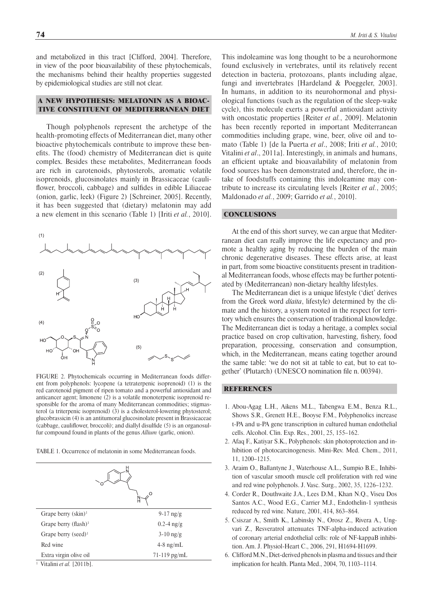and metabolized in this tract [Clifford, 2004]. Therefore, in view of the poor bioavailability of these phytochemicals, the mechanisms behind their healthy properties suggested by epidemiological studies are still not clear.

### A NEW HYPOTHESIS: MELATONIN AS A BIOAC-TIVE CONSTITUENT OF MEDITERRANEAN DIET

Though polyphenols represent the archetype of the health-promoting effects of Mediterranean diet, many other bioactive phytochemicals contribute to improve these benefits. The (food) chemistry of Mediterranean diet is quite complex. Besides these metabolites, Mediterranean foods are rich in carotenoids, phytosterols, aromatic volatile isoprenoids, glucosinolates mainly in Brassicaceae (cauliflower, broccoli, cabbage) and sulfides in edible Liliaceae (onion, garlic, leek) (Figure 2) [Schreiner, 2005]. Recently, it has been suggested that (dietary) melatonin may add a new element in this scenario (Table 1) [Iriti *et al.*, 2010].



FIGURE 2. Phytochemicals occurring in Mediterranean foods different from polyphenols: lycopene (a tetraterpenic isoprenoid) (1) is the red carotenoid pigment of ripen tomato and a powerful antioxidant and anticancer agent; limonene (2) is a volatile monoterpenic isoprenoid responsible for the aroma of many Mediterranean commodities; stigmasterol (a triterpenic isoprenoid) (3) is a cholesterol-lowering phytosterol; glucobrassicin (4) is an antitumoral glucosinolate present in Brassicaceae  $(cabbage, caulf lower, broccoli);$  and diallyl disulfide  $(5)$  is an organosulfur compound found in plants of the genus *Allium* (garlic, onion).

TABLE 1. Occurrence of melatonin in some Mediterranean foods.



1 Vitalini *et al.* [2011b].

This indoleamine was long thought to be a neurohormone found exclusively in vertebrates, until its relatively recent detection in bacteria, protozoans, plants including algae, fungi and invertebrates [Hardeland & Poeggeler, 2003]. In humans, in addition to its neurohormonal and physiological functions (such as the regulation of the sleep-wake cycle), this molecule exerts a powerful antioxidant activity with oncostatic properties [Reiter *et al.*, 2009]. Melatonin has been recently reported in important Mediterranean commodities including grape, wine, beer, olive oil and tomato (Table 1) [de la Puerta *et al*., 2008; Iriti *et al.*, 2010; Vitalini *et al*., 2011a]. Interestingly, in animals and humans, an efficient uptake and bioavailability of melatonin from food sources has been demonstrated and, therefore, the intake of foodstuffs containing this indoleamine may contribute to increase its circulating levels [Reiter *et al.*, 2005; Maldonado *et al.*, 2009; Garrido *et al.*, 2010].

## **CONCLUSIONS**

At the end of this short survey, we can argue that Mediterranean diet can really improve the life expectancy and promote a healthy aging by reducing the burden of the main chronic degenerative diseases. These effects arise, at least in part, from some bioactive constituents present in traditional Mediterranean foods, whose effects may be further potentiated by (Mediterranean) non-dietary healthy lifestyles.

The Mediterranean diet is a unique lifestyle ('diet' derives from the Greek word *díaita*, lifestyle) determined by the climate and the history, a system rooted in the respect for territory which ensures the conservation of traditional knowledge. The Mediterranean diet is today a heritage, a complex social practice based on crop cultivation, harvesting, fishery, food preparation, processing, conservation and consumption, which, in the Mediterranean, means eating together around the same table: 'we do not sit at table to eat, but to eat together' (Plutarch) (UNESCO nomination file n. 00394).

#### **REFERENCES**

- 1. Abou-Agag L.H., Aikens M.L., Tabengwa E.M., Benza R.L., Shows S.R., Grenett H.E., Booyse F.M., Polyphenolics increase t-PA and u-PA gene transcription in cultured human endothelial cells. Alcohol. Clin. Exp. Res., 2001, 25, 155–162.
- 2. Afaq F., Katiyar S.K., Polyphenols: skin photoprotection and inhibition of photocarcinogenesis. Mini-Rev. Med. Chem., 2011, 11, 1200–1215.
- 3. Araim O., Ballantyne J., Waterhouse A.L., Sumpio B.E., Inhibition of vascular smooth muscle cell proliferation with red wine and red wine polyphenols. J. Vasc. Surg., 2002, 35, 1226–1232.
- 4. Corder R., Douthwaite J.A., Lees D.M., Khan N.Q., Viseu Dos Santos A.C., Wood E.G., Carrier M.J., Endothelin-1 synthesis reduced by red wine. Nature, 2001, 414, 863–864.
- 5. Csiszar A., Smith K., Labinsky N., Orosz Z., Rivera A., Ungvari Z., Resveratrol attenuates TNF-alpha-induced activation of coronary arterial endothelial cells: role of NF-kappaB inhibition. Am. J. Physiol-Heart C., 2006, 291, H1694-H1699.
- 6. Clifford M.N., Diet-derived phenols in plasma and tissues and their implication for health. Planta Med., 2004, 70, 1103–1114.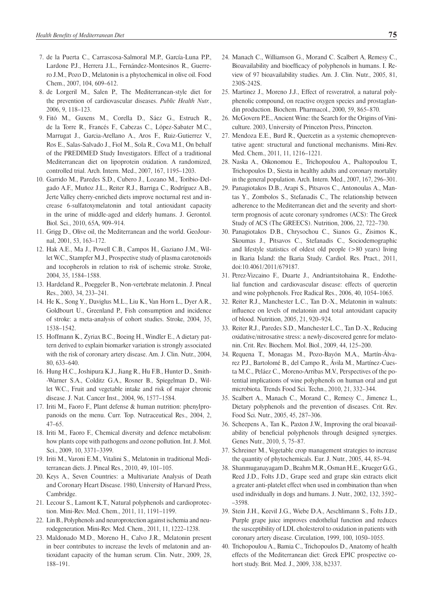- 7. de la Puerta C., Carrascosa-Salmoral M.P., García-Luna P.P., Lardone P.J., Herrera J.L., Fernández-Montesinos R., Guerrero J.M., Pozo D., Melatonin is a phytochemical in olive oil. Food Chem., 2007, 104, 609–612.
- 8. de Lorgeril M., Salen P., The Mediterranean-style diet for the prevention of cardiovascular diseases. *Public Health Nutr.*, 2006, 9, 118–123.
- 9. Fitó M., Guxens M., Corella D., Sáez G., Estruch R., de la Torre R., Francés F., Cabezas C., López-Sabater M.C., Marrugat J., Garcia-Arellano A., Aros F., Ruiz-Gutierrez V., Ros E., Salas-Salvado J., Fiol M., Sola R., Cova M.I., On behalf of the PREDIMED Study Investigators. Effect of a traditional Mediterranean diet on lipoprotein oxidation. A randomized, controlled trial. Arch. Intern. Med., 2007, 167, 1195–1203.
- 10. Garrido M., Paredes S.D., Cubero J., Lozano M., Toribio-Delgado A.F., Muñoz J.L., Reiter R.J., Barriga C., Rodríguez A.B., Jerte Valley cherry-enriched diets improve nocturnal rest and increase 6-sulfatoxymelatonin and total antioxidant capacity in the urine of middle-aged and elderly humans. J. Gerontol. Biol. Sci., 2010, 65A, 909–914.
- 11. Grigg D., Olive oil, the Mediterranean and the world. GeoJournal, 2001, 53, 163–172.
- 12. Hak A.E., Ma J., Powell C.B., Campos H., Gaziano J.M., Willet W.C., Stampfer M.J., Prospective study of plasma carotenoids and tocopherols in relation to risk of ischemic stroke. Stroke, 2004, 35, 1584–1588.
- 13. Hardeland R., Poeggeler B., Non-vertebrate melatonin. J. Pineal Res., 2003, 34, 233–241.
- 14. He K., Song Y., Daviglus M.L., Liu K., Van Horn L., Dyer A.R., Goldbourt U., Greenland P., Fish consumption and incidence of stroke: a meta-analysis of cohort studies. Stroke, 2004, 35, 1538–1542.
- 15. Hoffmann K., Zyriax B.C., Boeing H., Windler E., A dietary pattern derived to explain biomarker variation is strongly associated with the risk of coronary artery disease. Am. J. Clin. Nutr., 2004, 80, 633–640.
- 16. Hung H.C., Joshipura K.J., Jiang R., Hu F.B., Hunter D., Smith- -Warner S.A., Colditz G.A., Rosner B., Spiegelman D., Willet W.C., Fruit and vegetable intake and risk of major chronic disease. J. Nat. Cancer Inst., 2004, 96, 1577–1584.
- 17. Iriti M., Faoro F., Plant defense & human nutrition: phenylpropanoids on the menu. Curr. Top. Nutraceutical Res., 2004, 2, 47–65.
- 18. Iriti M., Faoro F., Chemical diversity and defence metabolism: how plants cope with pathogens and ozone pollution. Int. J. Mol. Sci., 2009, 10, 3371–3399.
- 19. Iriti M., Varoni E.M., Vitalini S., Melatonin in traditional Mediterranean diets. J. Pineal Res., 2010, 49, 101–105.
- 20. Keys A., Seven Countries: a Multivariate Analysis of Death and Coronary Heart Disease. 1980, University of Harvard Press, Cambridge.
- 21. Lecour S., Lamont K.T., Natural polyphenols and cardioprotection. Mini-Rev. Med. Chem., 2011, 11, 1191–1199.
- 22. Lin B., Polyphenols and neuroprotection against ischemia and neurodegeneration. Mini-Rev. Med. Chem., 2011, 11, 1222–1238.
- 23. Maldonado M.D., Moreno H., Calvo J.R., Melatonin present in beer contributes to increase the levels of melatonin and antioxidant capacity of the human serum. Clin. Nutr., 2009, 28, 188–191.
- 24. Manach C., Williamson G., Morand C. Scalbert A, Remesy C., Bioavailability and bioefficacy of polyphenols in humans. I. Review of 97 bioavailability studies. Am. J. Clin. Nutr., 2005, 81, 230S-242S.
- 25. Martinez J., Moreno J.J., Effect of resveratrol, a natural polyphenolic compound, on reactive oxygen species and prostaglandin production. Biochem. Pharmacol., 2000, 59, 865–870.
- 26. McGovern P.E., Ancient Wine: the Search for the Origins of Viniculture. 2003, University of Princeton Press, Princeton.
- 27. Mendoza E.E., Burd R., Quercetin as a systemic chemopreventative agent: structural and functional mechanisms. Mini-Rev. Med. Chem., 2011, 11, 1216–1221.
- 28. Naska A., Oikonomou E., Trichopoulou A., Psaltopoulou T., Trichopoulos D., Siesta in healthy adults and coronary mortality in the general population. Arch. Intern. Med., 2007, 167, 296–301.
- 29. Panagiotakos D.B., Arapi S., Pitsavos C., Antonoulas A., Mantas Y., Zombolos S., Stefanadis C., The relationship between adherence to the Mediterranean diet and the severity and shortterm prognosis of acute coronary syndromes (ACS): The Greek Study of ACS (The GREECS). Nutrition, 2006, 22, 722–730.
- 30. Panagiotakos D.B., Chrysochou C., Sianos G., Zisimos K., Skoumas J., Pitsavos C., Stefanadis C., Sociodemographic and lifestyle statistics of oldest old people (>80 years) living in Ikaria Island: the Ikaria Study. Cardiol. Res. Pract., 2011, doi:10.4061/2011/679187.
- 31. Perez-Vizcaino F., Duarte J., Andriantsitohaina R., Endothelial function and cardiovascular disease: effects of quercetin and wine polyphenols. Free Radical Res., 2006, 40, 1054–1065.
- 32. Reiter R.J., Manchester L.C., Tan D.-X., Melatonin in walnuts: influence on levels of melatonin and total antoxidant capacity of blood. Nutrition, 2005, 21, 920–924.
- 33. Reiter R.J., Paredes S.D., Manchester L.C., Tan D.-X., Reducing oxidative/nitrosative stress: a newly-discovered genre for melatonin. Crit. Rev. Biochem. Mol. Biol., 2009, 44, 125–200.
- 34. Requena T., Monagas M., Pozo-Bayón M.A., Martín-Álvarez P.J., Bartolomé B., del Campo R., Ávila M., Martínez-Cuesta M.C., Peláez C., Moreno-Arribas M.V., Perspectives of the potential implications of wine polyphenols on human oral and gut microbiota. Trends Food Sci. Techn., 2010, 21, 332–344.
- 35. Scalbert A., Manach C., Morand C., Remesy C., Jimenez L., Dietary polyphenols and the prevention of diseases. Crit. Rev. Food Sci. Nutr., 2005, 45, 287–306.
- 36. Scheepens A., Tan K., Paxton J.W., Improving the oral bioavailability of beneficial polyphenols through designed synergies. Genes Nutr., 2010, 5, 75–87.
- 37. Schreiner M., Vegetable crop management strategies to increase the quantity of phytochemicals. Eur. J. Nutr., 2005, 44, 85–94.
- 38. Shanmuganayagam D., Beahm M.R., Osman H.E., Krueger G.G., Reed J.D., Folts J.D., Grape seed and grape skin extracts elicit a greater anti-platelet effect when used in combination than when used individually in dogs and humans. J. Nutr., 2002, 132, 3592– –3598.
- 39. Stein J.H., Keevil J.G., Wiebe D.A., Aeschlimann S., Folts J.D., Purple grape juice improves endothelial function and reduces the susceptibility of LDL cholesterol to oxidation in patients with coronary artery disease. Circulation, 1999, 100, 1050–1055.
- 40. Trichopoulou A., Bamia C., Trichopoulos D., Anatomy of health effects of the Mediterranean diet: Greek EPIC prospective cohort study. Brit. Med. J., 2009, 338, b2337.